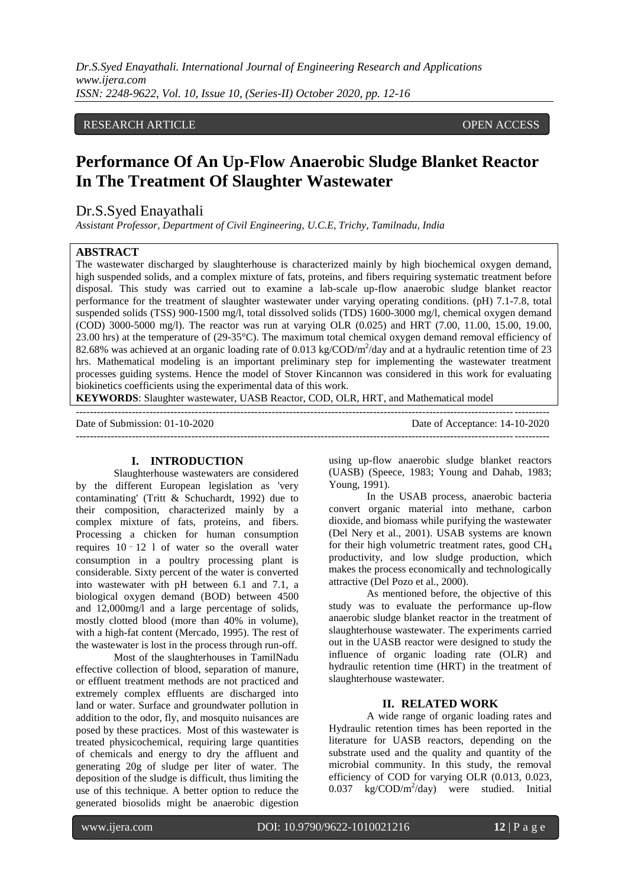*Dr.S.Syed Enayathali. International Journal of Engineering Research and Applications www.ijera.com ISSN: 2248-9622, Vol. 10, Issue 10, (Series-II) October 2020, pp. 12-16*

# RESEARCH ARTICLE **CONSERVERS** OPEN ACCESS

# **Performance Of An Up-Flow Anaerobic Sludge Blanket Reactor In The Treatment Of Slaughter Wastewater**

# Dr.S.Syed Enayathali

*Assistant Professor, Department of Civil Engineering, U.C.E, Trichy, Tamilnadu, India*

# **ABSTRACT**

The wastewater discharged by slaughterhouse is characterized mainly by high biochemical oxygen demand, high suspended solids, and a complex mixture of fats, proteins, and fibers requiring systematic treatment before disposal. This study was carried out to examine a lab-scale up-flow anaerobic sludge blanket reactor performance for the treatment of slaughter wastewater under varying operating conditions. (pH) 7.1-7.8, total suspended solids (TSS) 900-1500 mg/l, total dissolved solids (TDS) 1600-3000 mg/l, chemical oxygen demand (COD) 3000-5000 mg/l). The reactor was run at varying OLR (0.025) and HRT (7.00, 11.00, 15.00, 19.00, 23.00 hrs) at the temperature of (29-35°C). The maximum total chemical oxygen demand removal efficiency of 82.68% was achieved at an organic loading rate of 0.013 kg/COD/m<sup>2</sup>/day and at a hydraulic retention time of 23 hrs. Mathematical modeling is an important preliminary step for implementing the wastewater treatment processes guiding systems. Hence the model of Stover Kincannon was considered in this work for evaluating biokinetics coefficients using the experimental data of this work.

**KEYWORDS**: Slaughter wastewater, UASB Reactor, COD, OLR, HRT, and Mathematical model

--------------------------------------------------------------------------------------------------------------------------------------- Date of Submission: 01-10-2020 ---------------------------------------------------------------------------------------------------------------------------------------

### **I. INTRODUCTION**

Slaughterhouse wastewaters are considered by the different European legislation as 'very contaminating' (Tritt & Schuchardt, 1992) due to their composition, characterized mainly by a complex mixture of fats, proteins, and fibers. Processing a chicken for human consumption requires 10 – 12 l of water so the overall water consumption in a poultry processing plant is considerable. Sixty percent of the water is converted into wastewater with pH between 6.1 and 7.1, a biological oxygen demand (BOD) between 4500 and 12,000mg/l and a large percentage of solids, mostly clotted blood (more than 40% in volume), with a high-fat content (Mercado, 1995). The rest of the wastewater is lost in the process through run-off.

Most of the slaughterhouses in TamilNadu effective collection of blood, separation of manure, or effluent treatment methods are not practiced and extremely complex effluents are discharged into land or water. Surface and groundwater pollution in addition to the odor, fly, and mosquito nuisances are posed by these practices. Most of this wastewater is treated physicochemical, requiring large quantities of chemicals and energy to dry the affluent and generating 20g of sludge per liter of water. The deposition of the sludge is difficult, thus limiting the use of this technique. A better option to reduce the generated biosolids might be anaerobic digestion using up-flow anaerobic sludge blanket reactors (UASB) (Speece, 1983; Young and Dahab, 1983; Young, 1991).

In the USAB process, anaerobic bacteria convert organic material into methane, carbon dioxide, and biomass while purifying the wastewater (Del Nery et al., 2001). USAB systems are known for their high volumetric treatment rates, good  $CH<sub>4</sub>$ productivity, and low sludge production, which makes the process economically and technologically attractive (Del Pozo et al., 2000).

As mentioned before, the objective of this study was to evaluate the performance up-flow anaerobic sludge blanket reactor in the treatment of slaughterhouse wastewater. The experiments carried out in the UASB reactor were designed to study the influence of organic loading rate (OLR) and hydraulic retention time (HRT) in the treatment of slaughterhouse wastewater.

## **II. RELATED WORK**

A wide range of organic loading rates and Hydraulic retention times has been reported in the literature for UASB reactors, depending on the substrate used and the quality and quantity of the microbial community. In this study, the removal efficiency of COD for varying OLR (0.013, 0.023, 0.037 kg/COD/m<sup>2</sup>/day) were studied. Initial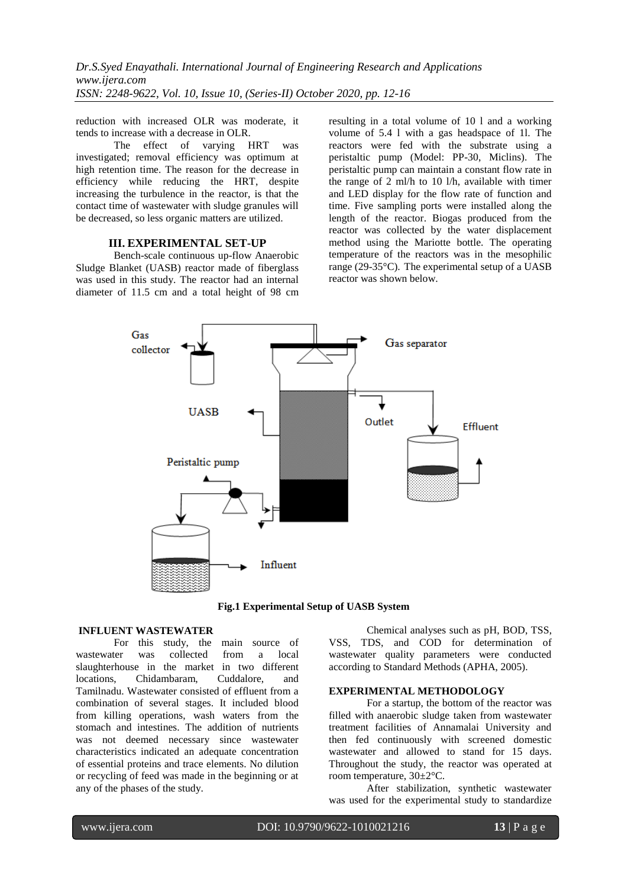reduction with increased OLR was moderate, it tends to increase with a decrease in OLR.

The effect of varying HRT was investigated; removal efficiency was optimum at high retention time. The reason for the decrease in efficiency while reducing the HRT, despite increasing the turbulence in the reactor, is that the contact time of wastewater with sludge granules will be decreased, so less organic matters are utilized.

## **III. EXPERIMENTAL SET-UP**

Bench-scale continuous up-flow Anaerobic Sludge Blanket (UASB) reactor made of fiberglass was used in this study. The reactor had an internal diameter of 11.5 cm and a total height of 98 cm resulting in a total volume of 10 l and a working volume of 5.4 l with a gas headspace of 1l. The reactors were fed with the substrate using a peristaltic pump (Model: PP-30, Miclins). The peristaltic pump can maintain a constant flow rate in the range of 2 ml/h to 10 l/h, available with timer and LED display for the flow rate of function and time. Five sampling ports were installed along the length of the reactor. Biogas produced from the reactor was collected by the water displacement method using the Mariotte bottle. The operating temperature of the reactors was in the mesophilic range (29-35°C). The experimental setup of a UASB reactor was shown below.



**Fig.1 Experimental Setup of UASB System**

#### **INFLUENT WASTEWATER**

For this study, the main source of wastewater was collected from a local slaughterhouse in the market in two different locations, Chidambaram, Cuddalore, and Tamilnadu. Wastewater consisted of effluent from a combination of several stages. It included blood from killing operations, wash waters from the stomach and intestines. The addition of nutrients was not deemed necessary since wastewater characteristics indicated an adequate concentration of essential proteins and trace elements. No dilution or recycling of feed was made in the beginning or at any of the phases of the study.

Chemical analyses such as pH, BOD, TSS, VSS, TDS, and COD for determination of wastewater quality parameters were conducted according to Standard Methods (APHA, 2005).

#### **EXPERIMENTAL METHODOLOGY**

For a startup, the bottom of the reactor was filled with anaerobic sludge taken from wastewater treatment facilities of Annamalai University and then fed continuously with screened domestic wastewater and allowed to stand for 15 days. Throughout the study, the reactor was operated at room temperature, 30±2°C.

After stabilization, synthetic wastewater was used for the experimental study to standardize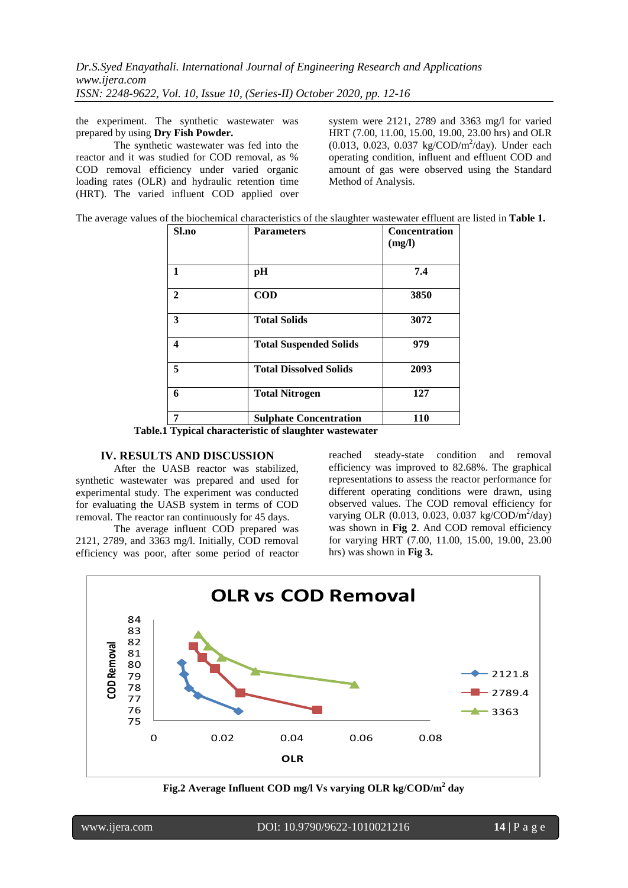the experiment. The synthetic wastewater was prepared by using **Dry Fish Powder.**

The synthetic wastewater was fed into the reactor and it was studied for COD removal, as % COD removal efficiency under varied organic loading rates (OLR) and hydraulic retention time (HRT). The varied influent COD applied over system were 2121, 2789 and 3363 mg/l for varied HRT (7.00, 11.00, 15.00, 19.00, 23.00 hrs) and OLR (0.013, 0.023, 0.037 kg/COD/m<sup>2</sup>/day). Under each operating condition, influent and effluent COD and amount of gas were observed using the Standard Method of Analysis.

The average values of the biochemical characteristics of the slaughter wastewater effluent are listed in **Table 1.**

| Sl.no        | <b>Parameters</b>             | Concentration<br>(mg/l) |
|--------------|-------------------------------|-------------------------|
| 1            | pH                            | 7.4                     |
| $\mathbf{2}$ | <b>COD</b>                    | 3850                    |
| 3            | <b>Total Solids</b>           | 3072                    |
| 4            | <b>Total Suspended Solids</b> | 979                     |
| 5            | <b>Total Dissolved Solids</b> | 2093                    |
| 6            | <b>Total Nitrogen</b>         | 127                     |
| 7            | <b>Sulphate Concentration</b> | 110                     |

**Table.1 Typical characteristic of slaughter wastewater**

## **IV. RESULTS AND DISCUSSION**

After the UASB reactor was stabilized, synthetic wastewater was prepared and used for experimental study. The experiment was conducted for evaluating the UASB system in terms of COD removal. The reactor ran continuously for 45 days.

The average influent COD prepared was 2121, 2789, and 3363 mg/l. Initially, COD removal efficiency was poor, after some period of reactor reached steady-state condition and removal efficiency was improved to 82.68%. The graphical representations to assess the reactor performance for different operating conditions were drawn, using observed values. The COD removal efficiency for varying OLR (0.013, 0.023, 0.037 kg/COD/m<sup>2</sup>/day) was shown in **Fig 2**. And COD removal efficiency for varying HRT (7.00, 11.00, 15.00, 19.00, 23.00 hrs) was shown in **Fig 3.**



**Fig.2 Average Influent COD mg/l Vs varying OLR kg/COD/m<sup>2</sup> day**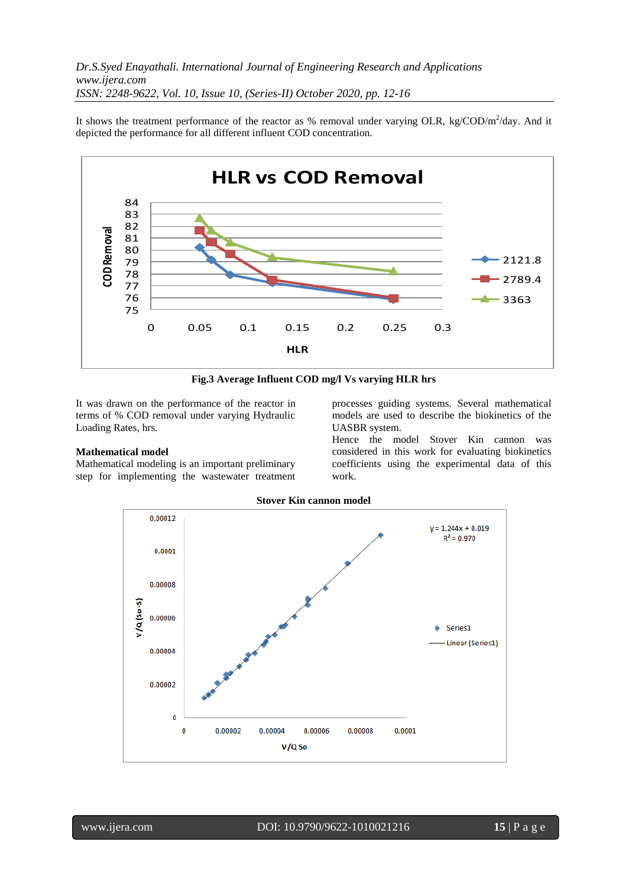It shows the treatment performance of the reactor as % removal under varying OLR, kg/COD/m<sup>2</sup>/day. And it depicted the performance for all different influent COD concentration.



**Fig.3 Average Influent COD mg/l Vs varying HLR hrs**

It was drawn on the performance of the reactor in terms of % COD removal under varying Hydraulic Loading Rates, hrs.

## **Mathematical model**

Mathematical modeling is an important preliminary step for implementing the wastewater treatment processes guiding systems. Several mathematical models are used to describe the biokinetics of the UASBR system.

Hence the model Stover Kin cannon was considered in this work for evaluating biokinetics coefficients using the experimental data of this work.



## **Stover Kin cannon model**